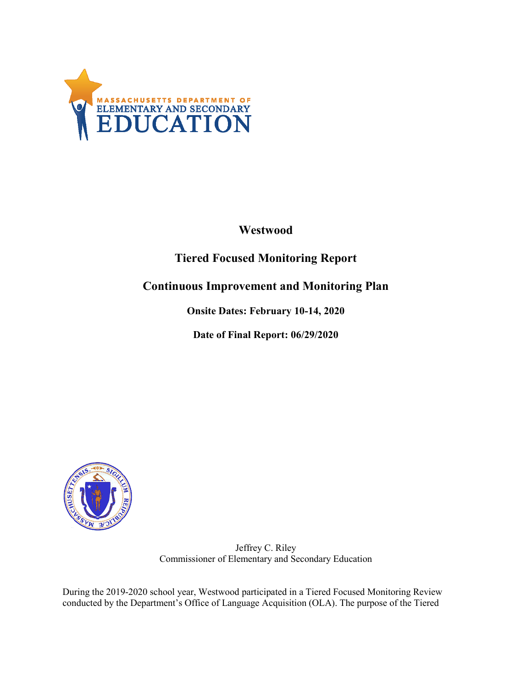

## **Westwood**

# **Tiered Focused Monitoring Report**

### **Continuous Improvement and Monitoring Plan**

**Onsite Dates: February 10-14, 2020**

**Date of Final Report: 06/29/2020**



Jeffrey C. Riley Commissioner of Elementary and Secondary Education

During the 2019-2020 school year, Westwood participated in a Tiered Focused Monitoring Review conducted by the Department's Office of Language Acquisition (OLA). The purpose of the Tiered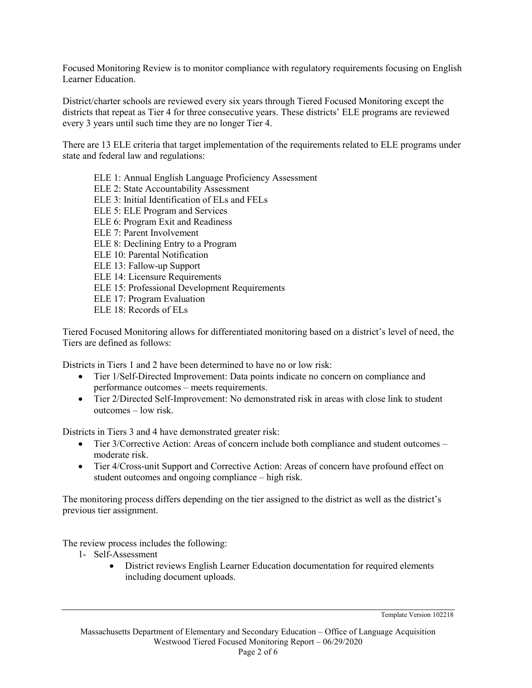Focused Monitoring Review is to monitor compliance with regulatory requirements focusing on English Learner Education.

District/charter schools are reviewed every six years through Tiered Focused Monitoring except the districts that repeat as Tier 4 for three consecutive years. These districts' ELE programs are reviewed every 3 years until such time they are no longer Tier 4.

There are 13 ELE criteria that target implementation of the requirements related to ELE programs under state and federal law and regulations:

ELE 1: Annual English Language Proficiency Assessment ELE 2: State Accountability Assessment ELE 3: Initial Identification of ELs and FELs ELE 5: ELE Program and Services ELE 6: Program Exit and Readiness ELE 7: Parent Involvement ELE 8: Declining Entry to a Program ELE 10: Parental Notification ELE 13: Fallow-up Support ELE 14: Licensure Requirements ELE 15: Professional Development Requirements ELE 17: Program Evaluation ELE 18: Records of ELs

Tiered Focused Monitoring allows for differentiated monitoring based on a district's level of need, the Tiers are defined as follows:

Districts in Tiers 1 and 2 have been determined to have no or low risk:

- Tier 1/Self-Directed Improvement: Data points indicate no concern on compliance and performance outcomes – meets requirements.
- Tier 2/Directed Self-Improvement: No demonstrated risk in areas with close link to student outcomes – low risk.

Districts in Tiers 3 and 4 have demonstrated greater risk:

- Tier 3/Corrective Action: Areas of concern include both compliance and student outcomes moderate risk.
- Tier 4/Cross-unit Support and Corrective Action: Areas of concern have profound effect on student outcomes and ongoing compliance – high risk.

The monitoring process differs depending on the tier assigned to the district as well as the district's previous tier assignment.

The review process includes the following:

- 1- Self-Assessment
	- District reviews English Learner Education documentation for required elements including document uploads.

Template Version 102218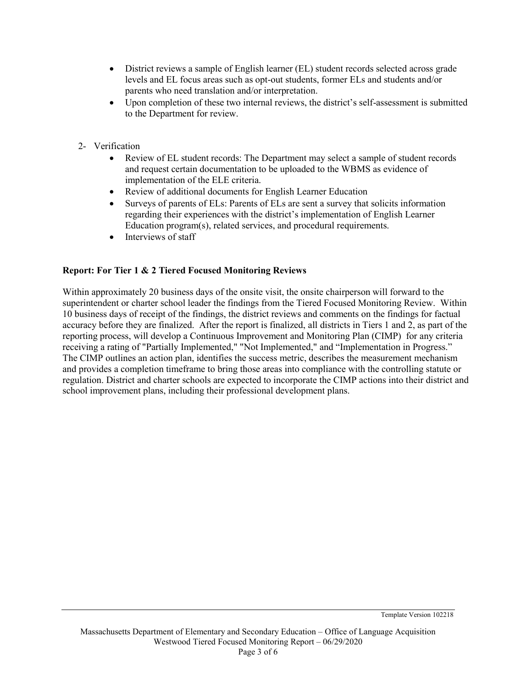- District reviews a sample of English learner (EL) student records selected across grade levels and EL focus areas such as opt-out students, former ELs and students and/or parents who need translation and/or interpretation.
- Upon completion of these two internal reviews, the district's self-assessment is submitted to the Department for review.
- 2- Verification
	- Review of EL student records: The Department may select a sample of student records and request certain documentation to be uploaded to the WBMS as evidence of implementation of the ELE criteria.
	- Review of additional documents for English Learner Education
	- Surveys of parents of ELs: Parents of ELs are sent a survey that solicits information regarding their experiences with the district's implementation of English Learner Education program(s), related services, and procedural requirements.
	- Interviews of staff

### **Report: For Tier 1 & 2 Tiered Focused Monitoring Reviews**

Within approximately 20 business days of the onsite visit, the onsite chairperson will forward to the superintendent or charter school leader the findings from the Tiered Focused Monitoring Review. Within 10 business days of receipt of the findings, the district reviews and comments on the findings for factual accuracy before they are finalized. After the report is finalized, all districts in Tiers 1 and 2, as part of the reporting process, will develop a Continuous Improvement and Monitoring Plan (CIMP) for any criteria receiving a rating of "Partially Implemented," "Not Implemented," and "Implementation in Progress." The CIMP outlines an action plan, identifies the success metric, describes the measurement mechanism and provides a completion timeframe to bring those areas into compliance with the controlling statute or regulation. District and charter schools are expected to incorporate the CIMP actions into their district and school improvement plans, including their professional development plans.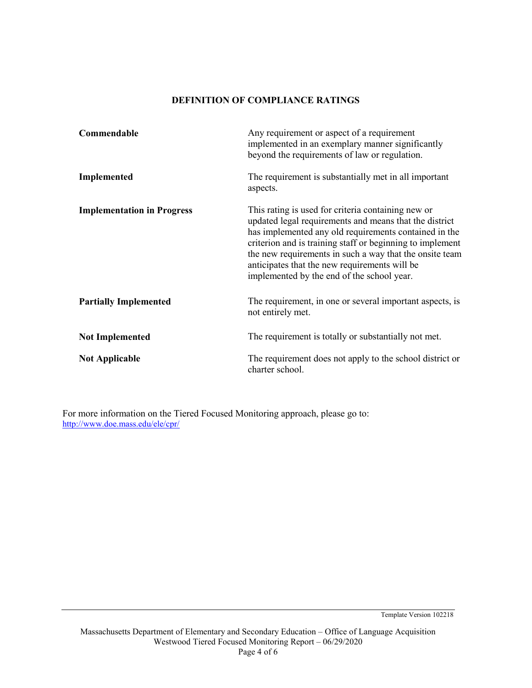#### **DEFINITION OF COMPLIANCE RATINGS**

| Commendable                       | Any requirement or aspect of a requirement<br>implemented in an exemplary manner significantly<br>beyond the requirements of law or regulation.                                                                                                                                                                                                                                              |
|-----------------------------------|----------------------------------------------------------------------------------------------------------------------------------------------------------------------------------------------------------------------------------------------------------------------------------------------------------------------------------------------------------------------------------------------|
| Implemented                       | The requirement is substantially met in all important<br>aspects.                                                                                                                                                                                                                                                                                                                            |
| <b>Implementation in Progress</b> | This rating is used for criteria containing new or<br>updated legal requirements and means that the district<br>has implemented any old requirements contained in the<br>criterion and is training staff or beginning to implement<br>the new requirements in such a way that the onsite team<br>anticipates that the new requirements will be<br>implemented by the end of the school year. |
| <b>Partially Implemented</b>      | The requirement, in one or several important aspects, is<br>not entirely met.                                                                                                                                                                                                                                                                                                                |
| <b>Not Implemented</b>            | The requirement is totally or substantially not met.                                                                                                                                                                                                                                                                                                                                         |
| <b>Not Applicable</b>             | The requirement does not apply to the school district or<br>charter school.                                                                                                                                                                                                                                                                                                                  |

For more information on the Tiered Focused Monitoring approach, please go to: <http://www.doe.mass.edu/ele/cpr/>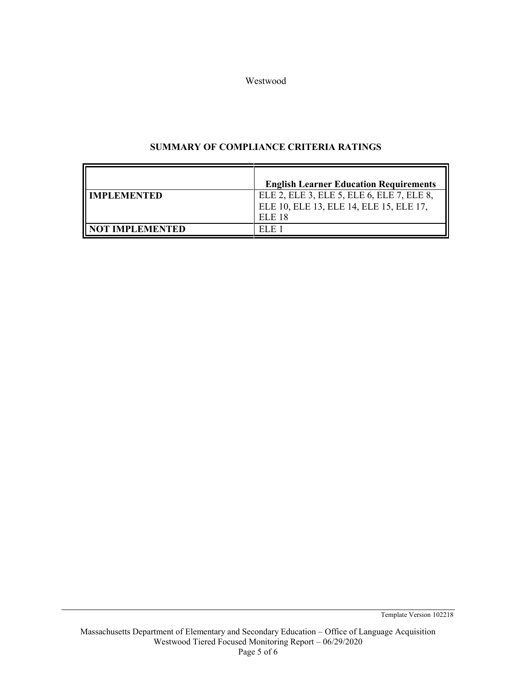Westwood

### **SUMMARY OF COMPLIANCE CRITERIA RATINGS**

|                       | <b>English Learner Education Requirements</b>                                                  |
|-----------------------|------------------------------------------------------------------------------------------------|
| <b>II IMPLEMENTED</b> | ELE 2, ELE 3, ELE 5, ELE 6, ELE 7, ELE 8,<br>ELE 10, ELE 13, ELE 14, ELE 15, ELE 17,<br>ELE 18 |
| II NOT IMPLEMENTED    |                                                                                                |

Template Version 102218